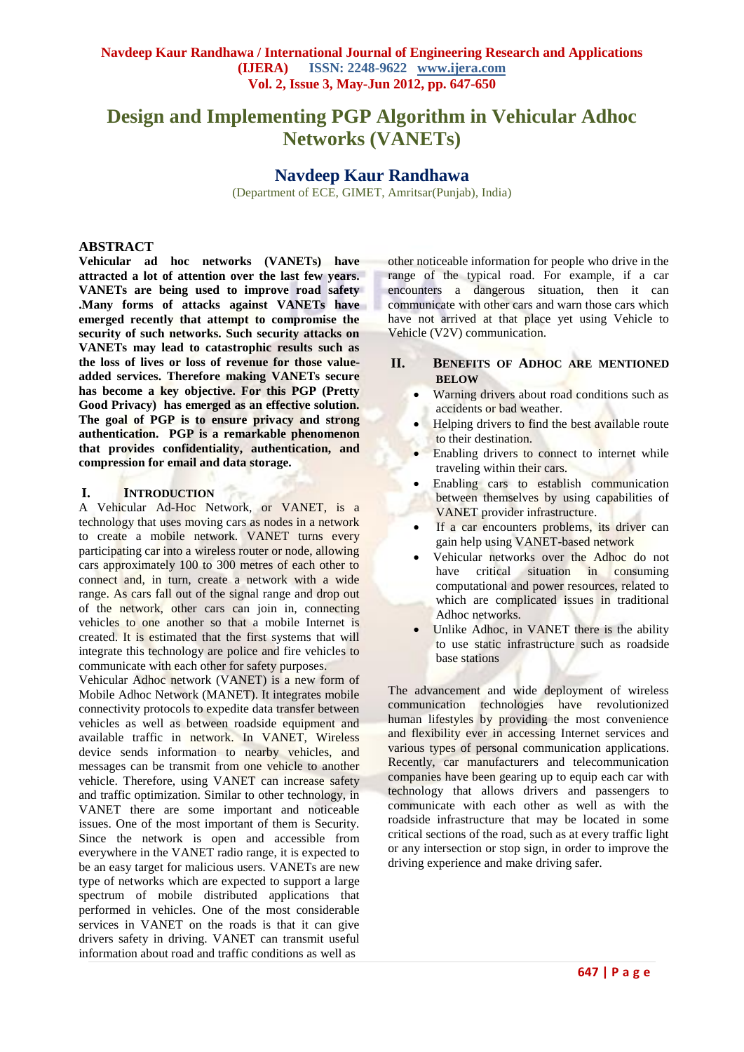# **Design and Implementing PGP Algorithm in Vehicular Adhoc Networks (VANETs)**

## **Navdeep Kaur Randhawa**

(Department of ECE, GIMET, Amritsar(Punjab), India)

#### **ABSTRACT**

**Vehicular ad hoc networks (VANETs) have attracted a lot of attention over the last few years. VANETs are being used to improve road safety .Many forms of attacks against VANETs have emerged recently that attempt to compromise the security of such networks. Such security attacks on VANETs may lead to catastrophic results such as the loss of lives or loss of revenue for those valueadded services. Therefore making VANETs secure has become a key objective. For this PGP (Pretty Good Privacy) has emerged as an effective solution. The goal of PGP is to ensure privacy and strong authentication. PGP is a remarkable phenomenon that provides confidentiality, authentication, and compression for email and data storage.**

#### **I. INTRODUCTION**

A Vehicular Ad-Hoc Network, or VANET, is a technology that uses moving cars as nodes in a network to create a mobile network. VANET turns every participating car into a wireless router or node, allowing cars approximately 100 to 300 metres of each other to connect and, in turn, create a network with a wide range. As cars fall out of the signal range and drop out of the network, other cars can join in, connecting vehicles to one another so that a mobile Internet is created. It is estimated that the first systems that will integrate this technology are police and fire vehicles to communicate with each other for safety purposes.

Vehicular Adhoc network (VANET) is a new form of Mobile Adhoc Network (MANET). It integrates mobile connectivity protocols to expedite data transfer between vehicles as well as between roadside equipment and available traffic in network. In VANET, Wireless device sends information to nearby vehicles, and messages can be transmit from one vehicle to another vehicle. Therefore, using VANET can increase safety and traffic optimization. Similar to other technology, in VANET there are some important and noticeable issues. One of the most important of them is Security. Since the network is open and accessible from everywhere in the VANET radio range, it is expected to be an easy target for malicious users. VANETs are new type of networks which are expected to support a large spectrum of mobile distributed applications that performed in vehicles. One of the most considerable services in VANET on the roads is that it can give drivers safety in driving. VANET can transmit useful information about road and traffic conditions as well as

other noticeable information for people who drive in the range of the typical road. For example, if a car encounters a dangerous situation, then it can communicate with other cars and warn those cars which have not arrived at that place yet using Vehicle to Vehicle (V2V) communication.

## **II. BENEFITS OF ADHOC ARE MENTIONED BELOW**

- Warning drivers about road conditions such as accidents or bad weather.
- Helping drivers to find the best available route to their destination.
- Enabling drivers to connect to internet while traveling within their cars.
- Enabling cars to establish communication between themselves by using capabilities of VANET provider infrastructure.
- If a car encounters problems, its driver can gain help using VANET-based network
- Vehicular networks over the Adhoc do not have critical situation in consuming computational and power resources, related to which are complicated issues in traditional Adhoc networks.
- Unlike Adhoc, in VANET there is the ability to use static infrastructure such as roadside base stations

The advancement and wide deployment of wireless communication technologies have revolutionized human lifestyles by providing the most convenience and flexibility ever in accessing Internet services and various types of personal communication applications. Recently, car manufacturers and telecommunication companies have been gearing up to equip each car with technology that allows drivers and passengers to communicate with each other as well as with the roadside infrastructure that may be located in some critical sections of the road, such as at every traffic light or any intersection or stop sign, in order to improve the driving experience and make driving safer.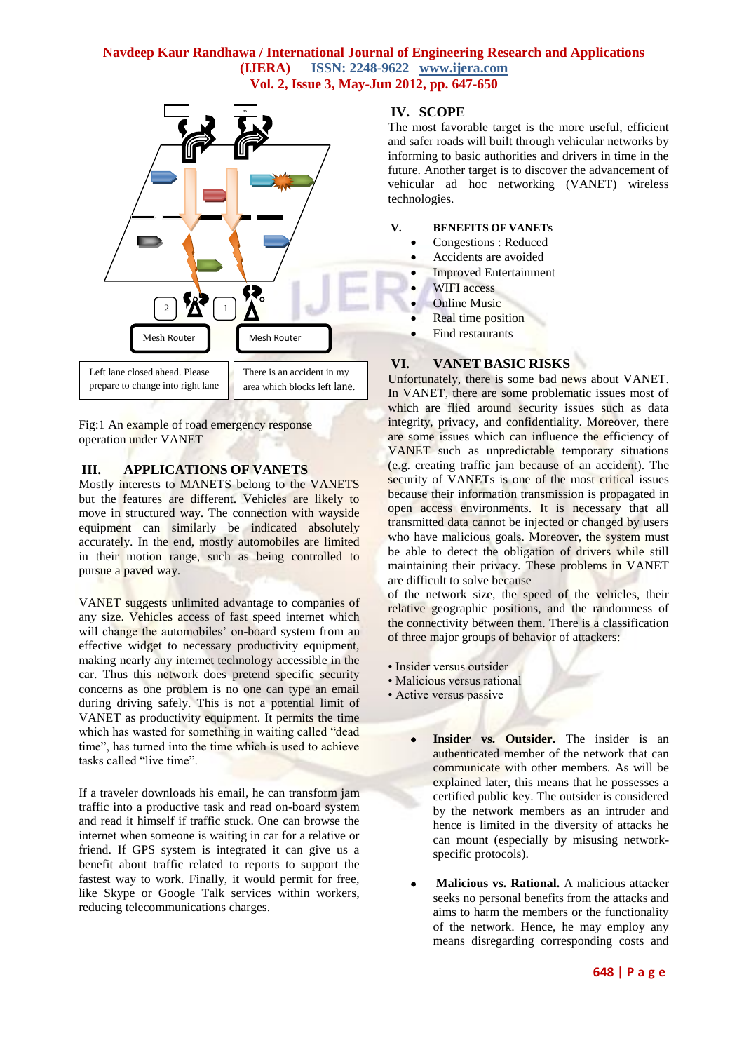# **Navdeep Kaur Randhawa / International Journal of Engineering Research and Applications (IJERA) ISSN: 2248-9622 www.ijera.com Vol. 2, Issue 3, May-Jun 2012, pp. 647-650**



Fig:1 An example of road emergency response operation under VANET

## **III. APPLICATIONS OF VANETS**

Mostly interests to MANETS belong to the VANETS but the features are different. Vehicles are likely to move in structured way. The connection with wayside equipment can similarly be indicated absolutely accurately. In the end, mostly automobiles are limited in their motion range, such as being controlled to pursue a paved way.

VANET suggests unlimited advantage to companies of any size. Vehicles access of fast speed internet which will change the automobiles' on-board system from an effective widget to necessary productivity equipment, making nearly any internet technology accessible in the car. Thus this network does pretend specific security concerns as one problem is no one can type an email during driving safely. This is not a potential limit of VANET as productivity equipment. It permits the time which has wasted for something in waiting called "dead" time", has turned into the time which is used to achieve tasks called "live time".

If a traveler downloads his email, he can transform jam traffic into a productive task and read on-board system and read it himself if traffic stuck. One can browse the internet when someone is waiting in car for a relative or friend. If GPS system is integrated it can give us a benefit about traffic related to reports to support the fastest way to work. Finally, it would permit for free, like Skype or Google Talk services within workers, reducing telecommunications charges.

#### **IV. SCOPE**

The most favorable target is the more useful, efficient and safer roads will built through vehicular networks by informing to basic authorities and drivers in time in the future. Another target is to discover the advancement of vehicular ad hoc networking (VANET) wireless technologies.

#### **V. BENEFITS OF VANETS**

- Congestions : Reduced
- Accidents are avoided
- Improved Entertainment
- WIFI access
- Online Music
- Real time position
- Find restaurants

# **VI. VANET BASIC RISKS**

Unfortunately, there is some bad news about VANET. In VANET, there are some problematic issues most of which are flied around security issues such as data integrity, privacy, and confidentiality. Moreover, there are some issues which can influence the efficiency of VANET such as unpredictable temporary situations (e.g. creating traffic jam because of an accident). The security of VANETs is one of the most critical issues because their information transmission is propagated in open access environments. It is necessary that all transmitted data cannot be injected or changed by users who have malicious goals. Moreover, the system must be able to detect the obligation of drivers while still maintaining their privacy. These problems in VANET are difficult to solve because

of the network size, the speed of the vehicles, their relative geographic positions, and the randomness of the connectivity between them. There is a classification of three major groups of behavior of attackers:

- Insider versus outsider
- Malicious versus rational
- Active versus passive
	- **•** Insider vs. Outsider. The insider is an authenticated member of the network that can communicate with other members. As will be explained later, this means that he possesses a certified public key. The outsider is considered by the network members as an intruder and hence is limited in the diversity of attacks he can mount (especially by misusing networkspecific protocols).
	- **Malicious vs. Rational.** A malicious attacker seeks no personal benefits from the attacks and aims to harm the members or the functionality of the network. Hence, he may employ any means disregarding corresponding costs and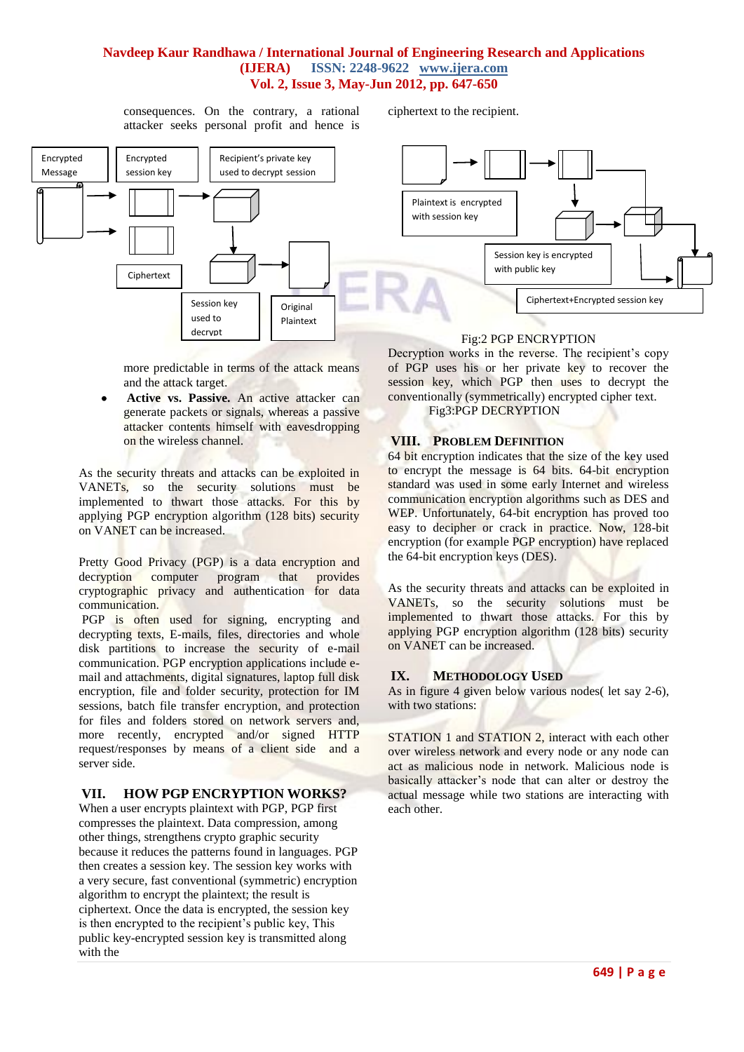# **Navdeep Kaur Randhawa / International Journal of Engineering Research and Applications (IJERA) ISSN: 2248-9622 www.ijera.com Vol. 2, Issue 3, May-Jun 2012, pp. 647-650**

ciphertext to the recipient.

consequences. On the contrary, a rational attacker seeks personal profit and hence is



more predictable in terms of the attack means and the attack target.

 **Active vs. Passive.** An active attacker can generate packets or signals, whereas a passive attacker contents himself with eavesdropping on the wireless channel.

As the security threats and attacks can be exploited in VANETs, so the security solutions must be implemented to thwart those attacks. For this by applying PGP encryption algorithm (128 bits) security on VANET can be increased.

Pretty Good Privacy (PGP) is a [data encryption](http://en.wikipedia.org/wiki/Data_encryption) and decryption computer program that provides decryption [computer program](http://en.wikipedia.org/wiki/Computer_program) that provides [cryptographic](http://en.wikipedia.org/wiki/Cryptographic) [privacy](http://en.wikipedia.org/wiki/Privacy) and [authentication](http://en.wikipedia.org/wiki/Authentication) for data communication.

PGP is often used for signing, encrypting and [decrypting](http://en.wikipedia.org/wiki/Decrypting) texts, E-mails, files, directories and whole disk partitions to increase the security of e-mail communication. PGP encryption applications include email and attachments, digital signatures, laptop full disk encryption, file and folder security, protection for IM sessions, batch file transfer encryption, and protection for files and folders stored on network servers and, more recently, encrypted and/or signed HTTP request/responses by means of a client side and a server side.

# **VII. HOW PGP ENCRYPTION WORKS?**

When a user encrypts plaintext with PGP, PGP first compresses the plaintext. Data compression, among other things, strengthens crypto graphic security because it reduces the patterns found in languages. PGP then creates a session key. The session key works with a very secure, fast conventional (symmetric) encryption algorithm to encrypt the plaintext; the result is ciphertext. Once the data is encrypted, the session key is then encrypted to the recipient's public key, This public key-encrypted session key is transmitted along with the

Decryption works in the reverse. The recipient's copy of PGP uses his or her private key to recover the session key, which PGP then uses to decrypt the conventionally (symmetrically) encrypted cipher text.

Fig3:PGP DECRYPTION

## **VIII. PROBLEM DEFINITION**

64 bit encryption indicates that the size of the key used to encrypt the message is 64 bits. 64-bit encryption standard was used in some early Internet and wireless communication encryption algorithms such as DES and WEP. Unfortunately, 64-bit encryption has proved too easy to decipher or crack in practice. Now, 128-bit encryption (for example PGP encryption) have replaced the 64-bit encryption keys (DES).

As the security threats and attacks can be exploited in VANETs, so the security solutions must be implemented to thwart those attacks. For this by applying PGP encryption algorithm (128 bits) security on VANET can be increased.

# **IX. METHODOLOGY USED**

As in figure 4 given below various nodes( let say 2-6), with two stations:

STATION 1 and STATION 2, interact with each other over wireless network and every node or any node can act as malicious node in network. Malicious node is basically attacker's node that can alter or destroy the actual message while two stations are interacting with each other.